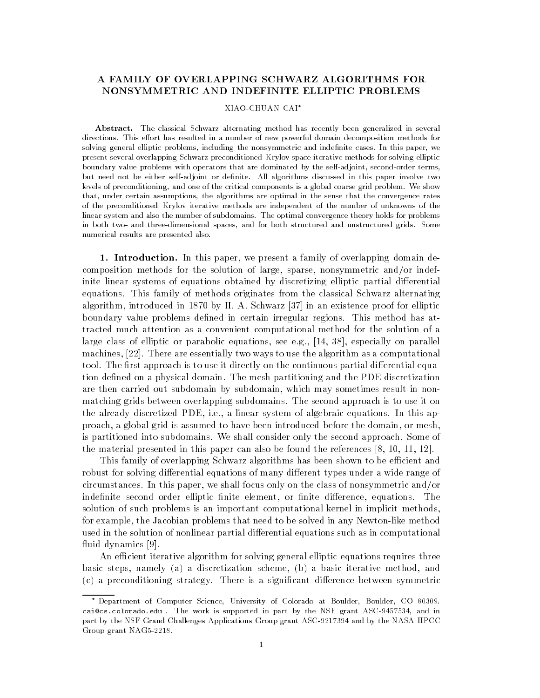## NONSYMMETRIC AND INDEFINITE ELLIPTIC PROBLEMS

## XIAOCHUAN CAI

Abstract. The classical Schwarz alternating method has recently been generalized in several directions This e-ort has resulted in a number of new powerful domain decomposition methods for solving general elliptic problems, including the nonsymmetric and indefinite cases. In this paper, we present several overlapping Schwarz preconditioned Krylov space iterative methods for solving elliptic boundary value problems with operators that are dominated by the self-adjoint, second-order terms, but need not be either self-adjoint or definite. All algorithms discussed in this paper involve two levels of preconditioning, and one of the critical components is a global coarse grid problem. We show that, under certain assumptions, the algorithms are optimal in the sense that the convergence rates of the preconditioned Krylov iterative methods are independent of the number of unknowns of the linear system and also the number of subdomains The optimal convergence theory holds for problems in both two- and three-dimensional spaces, and for both structured and unstructured grids. Some numerical results are presented also

1. Introduction. In this paper, we present a family of overlapping domain decomposition methods for the solution of large sparse nonsymmetric and-or indef inite linear systems of equations obtained by discretizing elliptic partial differential equations This family of methods originates from the classical Schwarz alternating algorithm introduced in an existence  $\alpha$  , which is an existence in an existence problem in an existence in boundary value problems defined in certain irregular regions. This method has attracted much attention as a convenient computational method for the solution of a large class of elliptic or parabolic equations see eg 
 especially on parallel machines,  $[22]$ . There are essentially two ways to use the algorithm as a computational tool. The first approach is to use it directly on the continuous partial differential equation defined on a physical domain. The mesh partitioning and the PDE discretization are then carried out subdomain by subdomain, which may sometimes result in nonmatching grids between overlapping subdomains. The second approach is to use it on the already discretized PDE, i.e., a linear system of algebraic equations. In this approach a global grid is assumed to have been introduced before the domain or mesh is partitioned into subdomains. We shall consider only the second approach. Some of the material presented in this paper can also be found the references  $[8, 10, 11, 12]$ .

This family of overlapping Schwarz algorithms has been shown to be efficient and robust for solving differential equations of many different types under a wide range of circumstances In this paper we shall focus on the class of the class of nonsymmetric and  $\alpha$ indefinite second order elliptic finite element, or finite difference, equations. The solution of such problems is an important computational kernel in implicit methods for example, the Jacobian problems that need to be solved in any Newton-like method used in the solution of nonlinear partial differential equations such as in computational fluid dynamics [9].

An efficient iterative algorithm for solving general elliptic equations requires three basic steps, namely (a) a discretization scheme, (b) a basic iterative method, and  $(c)$  a preconditioning strategy. There is a significant difference between symmetric

<sup>-</sup> Department of Computer Science, University of Colorado at Boulder, Boulder, CO 80309. caicscoloradoedu The work is supported in part by the NSF grant ASC and in part by the NSF Grand Challenges Applications Group grant ASC-9217394 and by the NASA HPCC Group grant NAG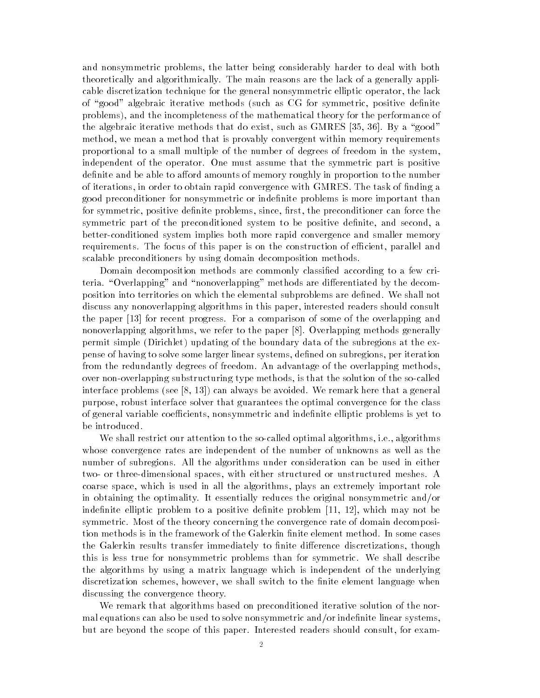and nonsymmetric problems, the latter being considerably harder to deal with both theoretically and algorithmically The main reasons are the lack of a generally appli cable discretization technique for the general nonsymmetric elliptic operator, the lack of "good" algebraic iterative methods (such as CG for symmetric, positive definite problems), and the incompleteness of the mathematical theory for the performance of the algebraic iterative methods that do exist such as GMRES  $\sim$  and do exist such as  $\sim$  and  $\sim$ method, we mean a method that is provably convergent within memory requirements proportional to a small multiple of the number of degrees of freedom in the system independent of the operator. One must assume that the symmetric part is positive definite and be able to afford amounts of memory roughly in proportion to the number of iterations, in order to obtain rapid convergence with GMRES. The task of finding a good preconditioner for nonsymmetric or indefinite problems is more important than for symmetric, positive definite problems, since, first, the preconditioner can force the symmetric part of the preconditioned system to be positive definite, and second, a better-conditioned system implies both more rapid convergence and smaller memory requirements. The focus of this paper is on the construction of efficient, parallel and scalable preconditioners by using domain decomposition methods

Domain decomposition methods are commonly classied according to a few cri teria. "Overlapping" and "nonoverlapping" methods are differentiated by the decomposition into territories on which the elemental subproblems are defined. We shall not discuss any nonoverlapping algorithms in this paper interested readers should consult the paper  $\{r,s\}$  for a comparison progress  $\pi$  is the overlapping and the overlapping and  $\pi$ nonoverlapping algorithms, we refer to the paper [8]. Overlapping methods generally permit simple (Dirichlet) updating of the boundary data of the subregions at the expense of having to solve some larger linear systems, defined on subregions, per iteration from the redundantly degrees of freedom. An advantage of the overlapping methods, over non-overlapping substructuring type methods, is that the solution of the so-called interface problems see you remark here the see all always and always and always here that a general purpose, robust interface solver that guarantees the optimal convergence for the class of general variable coefficients, nonsymmetric and indefinite elliptic problems is yet to be introduced

We shall restrict our attention to the so-called optimal algorithms, i.e., algorithms whose convergence rates are independent of the number of unknowns as well as the number of subregions. All the algorithms under consideration can be used in either two- or three-dimensional spaces, with either structured or unstructured meshes. A coarse space, which is used in all the algorithms, plays an extremely important role in obtaining the optimality It essentially reduces the original nonsymmetric and-or indefinite elliptic problem to a positive definite problem  $[11, 12]$ , which may not be symmetric. Most of the theory concerning the convergence rate of domain decomposition methods is in the framework of the Galerkin finite element method. In some cases the Galerkin results transfer immediately to finite difference discretizations, though this is less true for nonsymmetric problems than for symmetric We shall describe the algorithms by using a matrix language which is independent of the underlying discretization schemes, however, we shall switch to the finite element language when discussing the convergence theory

We remark that algorithms based on preconditioned iterative solution of the nor mal equations can also be used to solve nonsymmetric and-or indenite linear systems but are beyond the scope of this paper. Interested readers should consult, for exam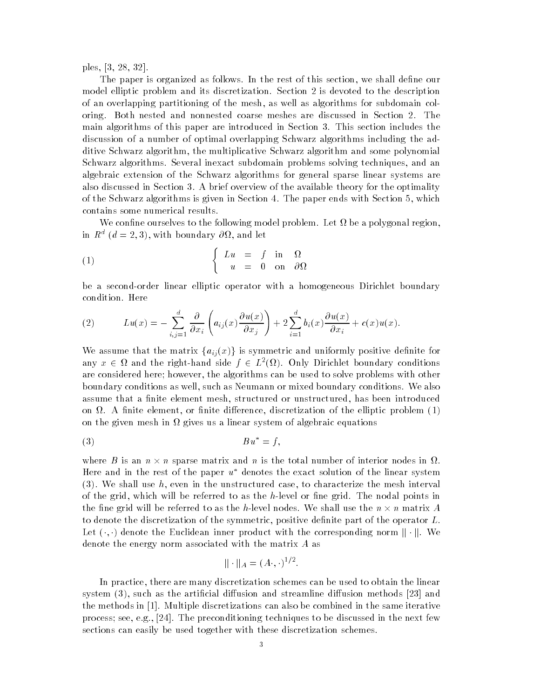ples and a series of the series of the series of the series of the series of the series of the series of the s

The paper is organized as follows. In the rest of this section, we shall define our model elliptic problem and its discretization. Section 2 is devoted to the description of an overlapping partitioning of the mesh as well as algorithms for subdomain col oring. Both nested and nonnested coarse meshes are discussed in Section 2. The main algorithms in this paper are introduced in Section I. Section includes the section includes discussion of a number of optimal overlapping Schwarz algorithms including the ad ditive Schwarz algorithm the multiplicative Schwarz algorithm and some polynomial Schwarz algorithms. Several inexact subdomain problems solving techniques, and an algebraic extension of the Schwarz algorithms for general sparse linear systems are also discussed in Section 2012 and available the available the available theory for the optimality of the optimality of the Schwarz algorithms is given in Section 4. The paper ends with Section 5, which contains some numerical results

We confine ourselves to the following model problem. Let  $\Omega$  be a polygonal region, in  $R^-(a=2,3)$ , with boundary  $\partial M$ , and let

(1) 
$$
\begin{cases} Lu = f \text{ in } \Omega \\ u = 0 \text{ on } \partial \Omega \end{cases}
$$

be a second-order linear elliptic operator with a homogeneous Dirichlet boundary condition. Here

(2) 
$$
Lu(x) = -\sum_{i,j=1}^d \frac{\partial}{\partial x_i} \left( a_{ij}(x) \frac{\partial u(x)}{\partial x_j} \right) + 2 \sum_{i=1}^d b_i(x) \frac{\partial u(x)}{\partial x_i} + c(x)u(x).
$$

We assume that the matrix  $\{a_{ij}(x)\}\$ is symmetric and uniformly positive definite for any  $x \in \Omega$  and the right-hand side  $f \in L^2(\Omega)$ . Only Dirichlet boundary conditions are considered here; however, the algorithms can be used to solve problems with other boundary conditions as well, such as Neumann or mixed boundary conditions. We also assume that a finite element mesh, structured or unstructured, has been introduced on  $\Omega$ . A finite element, or finite difference, discretization of the elliptic problem  $(1)$ on the given mesh in  $\Omega$  gives us a linear system of algebraic equations

$$
(3) \t\t\t Bu^* = f,
$$

where B is an  $n \times n$  sparse matrix and n is the total number of interior nodes in  $\Omega$ . Here and in the rest of the paper  $u^*$  denotes the exact solution of the linear system we shall use the use the use the use the user the user the case to characterize the mesh interval interval of the grid, which will be referred to as the h-level or fine grid. The nodal points in the fine grid will be referred to as the h-level nodes. We shall use the  $n \times n$  matrix  $A$ to denote the discretization of the symmetric, positive definite part of the operator  $L$ . Let  $(\cdot, \cdot)$  denote the Euclidean inner product with the corresponding norm  $\|\cdot\|$ . We denote the energy norm associated with the matrix A as

$$
\| \cdot \|_A = (A \cdot, \cdot)^{1/2}
$$

In practice, there are many discretization schemes can be used to obtain the linear system such as the articial diusion and streamline diusion methods and the methods in  $[1]$ . Multiple discretizations can also be combined in the same iterative process; see, e.g., [24]. The preconditioning techniques to be discussed in the next few sections can easily be used together with these discretization schemes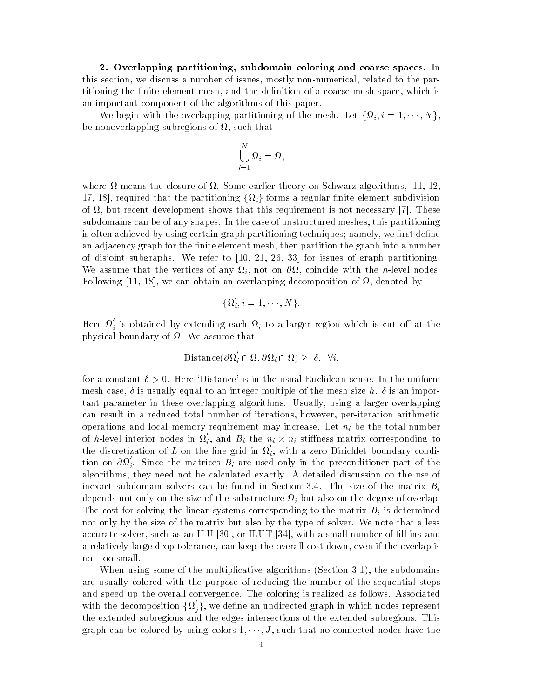- Overlapping partitioning subdomain coloring and coarse spaces In this section, we discuss a number of issues, mostly non-numerical, related to the partitioning the finite element mesh, and the definition of a coarse mesh space, which is an important component of the algorithms of this paper

We begin with the overlapping partitioning of the mesh. Let  $\{\Omega_i, i = 1, \dots, N\},\$ be nonoverlapping subregions of  $\Omega$ , such that

$$
\bigcup_{i=1}^N \bar\Omega_i = \bar\Omega,
$$

where  $\overline{\Omega}$  means the closure of  $\Omega$ . Some earlier theory on Schwarz algorithms, [11, 12, 17, 18], required that the partitioning  $\{\Omega_i\}$  forms a regular finite element subdivision of  $\Omega$ , but recent development shows that this requirement is not necessary [7]. These subdomains can be of any shapes. In the case of unstructured meshes, this partitioning is often achieved by using certain graph partitioning techniques; namely, we first define an adjacency graph for the finite element mesh, then partition the graph into a number of disjoint subgraphs We refer to your organizer to an include the graph partition and We assume that the vertices of any  $\Omega_i$ , not on  $\partial\Omega$ , coincide with the h-level nodes. Following [11, 18], we can obtain an overlapping decomposition of  $\Omega$ , denoted by

$$
\{\Omega_i, i=1,\cdots,N\}.
$$

Here  $\Omega_i$  is obtained by extending each  $\Omega_i$  to a larger region which is cut off at the physical boundary of  $\Omega$ . We assume that

Distance
$$
(\partial \Omega_i' \cap \Omega, \partial \Omega_i \cap \Omega) \geq \delta, \forall i,
$$

for a constant  $\delta > 0$ . Here 'Distance' is in the usual Euclidean sense. In the uniform mesh case,  $\delta$  is usually equal to an integer multiple of the mesh size h.  $\delta$  is an important parameter in these overlapping algorithms. Usually, using a larger overlapping can result in a reduced total number of iterations, however, per-iteration arithmetic operations and local memory requirement may increase. Let  $n_i$  be the total number of h-level interior nodes in  $\Omega_i$ , and  $B_i$  the  $n_i \times n_i$  stiffness matrix corresponding to the discretization of L on the fine grid in  $\Omega_i$ , with a zero Dirichlet boundary condition on  $\partial\Omega_i$ . Since the matrices  $B_i$  are used only in the preconditioner part of the algorithms, they need not be calculated exactly. A detailed discussion on the use of  $\iota$ depends not only on the size of the substructure  $\Omega_i$  but also on the degree of overlap The cost for solving the linear systems corresponding to the matrix  $B_i$  is determined not only by the size of the matrix but also by the type of solver. We note that a less accurate solver such as an ILU ILUT III in ILUT III in ILUT III in ILUT III in ILUT III in ILUT III in ILUT I a relatively large drop tolerance, can keep the overall cost down, even if the overlap is not too small

when when  $\Delta$  some of the multiplicative algorithms (section section algorithms  $\Delta$ are usually colored with the purpose of reducing the number of the sequential steps and speed up the overall convergence The coloring is realized as follows Associated with the decomposition  $\{\Omega^{'}_j\},$  we define an undirected graph in which nodes represent the extended subregions and the edges intersections of the extended subregions This graph can be colored by using colors  $1, \dots, J$ , such that no connected nodes have the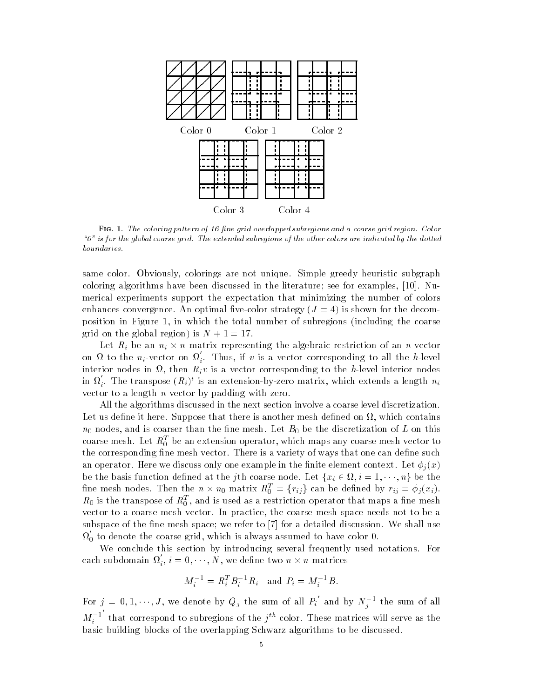

Fig The coloring pattern of -ne grid overlapped subregions and a coarse grid region Color  $10$ <sup>n</sup> is for the global coarse grid. The extended subregions of the other colors are indicated by the dotted boundaries

same color. Obviously, colorings are not unique. Simple greedy heuristic subgraph coloring algorithms have been discussed in the literature; see for examples,  $[10]$ . Numerical experiments support the expectation that minimizing the number of colors enhances convergence. An optimal five-color strategy  $(J = 4)$  is shown for the decomposition in Figure 1, in which the total number of subregions (including the coarse grid on the global region) is  $N + 1 = 17$ .

Let  $R_i$  be an  $n_i \times n$  matrix representing the algebraic restriction of an  $n$ -vector on  $\Omega$  to the  $n_i$ -vector on  $\Omega_i$ . Thus, if v is a vector corresponding to all the h-level interior nodes in  $\Omega$ , then  $R_i v$  is a vector corresponding to the h-level interior nodes in  $\Omega_i$ . The transpose  $(R_i)^t$  is an extension-by-zero matrix, which extends a length  $n_i$ vector to a length  $n$  vector by padding with zero.

All the algorithms discussed in the next section involve a coarse level discretization Let us define it here. Suppose that there is another mesh defined on  $\Omega$ , which contains  $n_0$  nodes, and is coarser than the fine mesh. Let  $B_0$  be the discretization of L on this coarse mesh. Let  $\kappa_{0}^{-}$  be an extension operator, which maps any coarse mesh vector to the corresponding fine mesh vector. There is a variety of ways that one can define such an operator. Here we discuss only one example in the finite element context. Let  $\phi_i(x)$ be the basis function defined at the *j*th coarse node. Let  $\{x_i \in \Omega, i = 1, \dots, n\}$  be the fine mesh nodes. Then the  $n \times n_0$  matrix  $R_0^T = \{r_{ij}\}$  can be defined by  $r_{ij} = \phi_j(x_i)$ .  $\kappa_0$  is the transpose of  $\kappa_0$  , and is used as a restriction operator that maps a line mesh vector to a coarse mesh vector. In practice, the coarse mesh space needs not to be a subspace of the fine mesh space; we refer to  $\lceil 7 \rceil$  for a detailed discussion. We shall use  $\Omega_0$  to denote the coarse grid, which is always assumed to have color 0.

We conclude this section by introducing several frequently used notations. For each subdomain  $\Omega_i, i=0,\cdots,N,$  we define two  $n\times n$  matrices

$$
M_i^{-1} = R_i^T B_i^{-1} R_i \text{ and } P_i = M_i^{-1} B.
$$

For  $j = 0, 1, \dots, J$ , we denote by  $Q_j$  the sum of all  $P_i$  and by  $N_i^{-1}$  the sum of all  $M_i$  th that correspond to subregions of the  $\gamma$  -color. These matrices will serve as the basic building blocks of the overlapping Schwarz algorithms to be discussed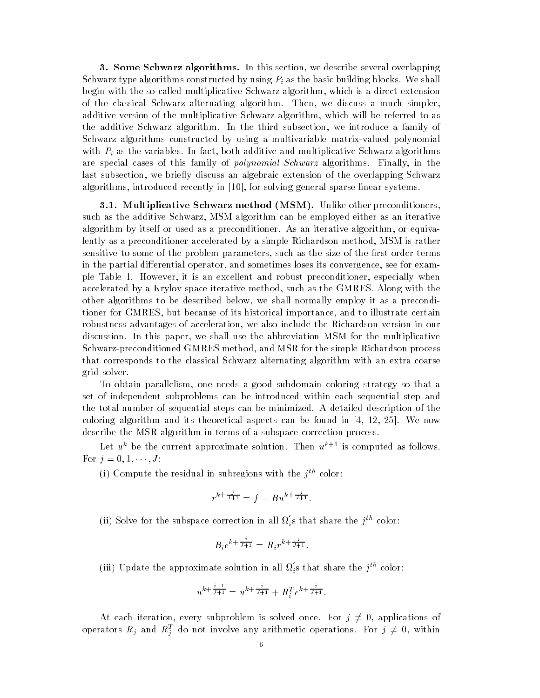**3. Some Schwarz algorithms.** In this section, we describe several overlapping Schwarz type algorithms constructed by using  $P_i$  as the basic building blocks. We shall begin with the so-called multiplicative Schwarz algorithm, which is a direct extension of the classical Schwarz alternating algorithm. Then, we discuss a much simpler, additive version of the multiplicative Schwarz algorithm, which will be referred to as the additive Schwarz algorithm. In the third subsection, we introduce a family of Schwarz algorithms constructed by using a multivariable matrix-valued polynomial with  $P_i$  as the variables. In fact, both additive and multiplicative Schwarz algorithms are special cases of this family of *polynomial Schwarz* algorithms. Finally, in the last subsection, we briefly discuss an algebraic extension of the overlapping Schwarz algorithms, introduced recently in  $[10]$ , for solving general sparse linear systems.

**3.1. Multiplicative Schwarz method (MSM).** Unlike other preconditioners, such as the additive Schwarz, MSM algorithm can be employed either as an iterative algorithm by itself or used as a preconditioner. As an iterative algorithm, or equivalently as a preconditioner accelerated by a simple Richardson method, MSM is rather sensitive to some of the problem parameters, such as the size of the first order terms in the partial differential operator, and sometimes loses its convergence, see for example Table 1. However, it is an excellent and robust preconditioner, especially when accelerated by a Krylov space iterative method, such as the GMRES. Along with the other algorithms to be described below, we shall normally employ it as a preconditioner for GMRES but because of its historical importance and to illustrate certain robustness advantages of acceleration, we also include the Richardson version in our discussion. In this paper, we shall use the abbreviation MSM for the multiplicative Schwarz-preconditioned GMRES method, and MSR for the simple Richardson process that corresponds to the classical Schwarz alternating algorithm with an extra coarse grid solver

To obtain parallelism one needs a good subdomain coloring strategy so that a set of independent subproblems can be introduced within each sequential step and the total number of sequential steps can be minimized. A detailed description of the coloring algorithm and its theoretical aspects can be found in  $[4, 12, 25]$ . We now describe the MSR algorithm in terms of a subspace correction process

Let  $u^k$  be the current approximate solution. Then  $u^{k+1}$  is computed as follows. For  $j = 0, 1, \dots, J$ :

(1) Compute the residual in subregions with the  $\gamma-$  color:

$$
r^{k+\frac{j}{J+1}} = f - Bu^{k+\frac{j}{J+1}}.
$$

(ii) Solve for the subspace correction in all  $\Omega_i$ s that share the  $j^{th}$  color:

$$
B_i e^{k + \frac{j}{J+1}} = R_i r^{k + \frac{j}{J+1}}.
$$

(iii) Update the approximate solution in all  $\Omega_i$ s that share the  $j^{th}$  color:

$$
u^{k + \frac{j+1}{j+1}} = u^{k + \frac{j}{j+1}} + R_i^T e^{k + \frac{j}{j+1}}.
$$

At each iteration, every subproblem is solved once. For  $j \neq 0$ , applications of operators  $R_j$  and  $R_j^T$  do not involve any arithmetic operations. For  $j \neq 0$ , within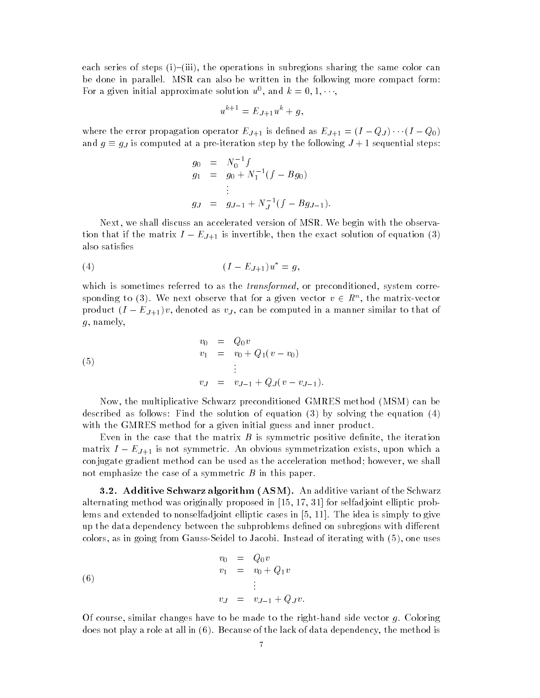each series of steps  $(i)$ - $(iii)$ , the operations in subregions sharing the same color can be done in parallel. MSR can also be written in the following more compact form: For a given initial approximate solution  $u^*$ , and  $\kappa = 0, 1, \cdots$ ,

$$
u^{k+1} = E_{J+1}u^k + g,
$$

where the error propagation operator  $E_{J+1}$  is defined as  $E_{J+1} = (I - Q_J) \cdots (I - Q_0)$ and  $g \equiv g_J$  is computed at a pre-iteration step by the following  $J+1$  sequential steps:

$$
g_0 = N_0^{-1} f
$$
  
\n
$$
g_1 = g_0 + N_1^{-1} (f - B g_0)
$$
  
\n
$$
\vdots
$$
  
\n
$$
g_J = g_{J-1} + N_J^{-1} (f - B g_{J-1}).
$$

Next, we shall discuss an accelerated version of MSR. We begin with the observation that if the matrix  $I = L J + 1$  is invertible, then the exact solution of equation (b) also satisfies

(4) 
$$
(I - E_{J+1})u^* = g,
$$

which is sometimes referred to as the *transformed*, or preconditioned, system corresponding to (3). We next observe that for a given vector  $v \in R^n$ , the matrix-vector product  $(I - E_{J+1})v$ , denoted as  $v_J$ , can be computed in a manner similar to that of  $g$ , namely,

(5)  
\n
$$
\begin{array}{rcl}\nv_0 & = & Q_0 v \\
v_1 & = & v_0 + Q_1(v - v_0) \\
\vdots \\
v_J & = & v_{J-1} + Q_J(v - v_{J-1}).\n\end{array}
$$

Now, the multiplicative Schwarz preconditioned GMRES method (MSM) can be described as follows Find the solution of equation of equation of equation of equation of equation of equation  $\mathcal{A} = \mathcal{A}$ with the GMRES method for a given initial guess and inner product.

Even in the case that the matrix  $B$  is symmetric positive definite, the iteration matrix  $I - E_{J+1}$  is not symmetric. An obvious symmetrization exists, upon which a conjugate gradient method can be used as the acceleration method; however, we shall not emphasize the case of a symmetric  $B$  in this paper.

- Additive Schwarz algorithm ASM An additive variant of the Schwarz alternating method was originally proposed in  $|$  self-adjoint elliptic problem in  $\mathbb{R}^n$ lems and extended to nonselfadjoint elliptic cases in  $[5, 11]$ . The idea is simply to give up the data dependency between the subproblems defined on subregions with different colors, as in going from Gauss-Seidel to Jacobi. Instead of iterating with  $(5)$ , one uses

(6) 
$$
v_0 = Q_0 v \n v_1 = v_0 + Q_1 v \n \vdots \n v_J = v_{J-1} + Q_J v.
$$

Of course, similar changes have to be made to the right-hand side vector  $q$ . Coloring does not play a role at all in  $(6)$ . Because of the lack of data dependency, the method is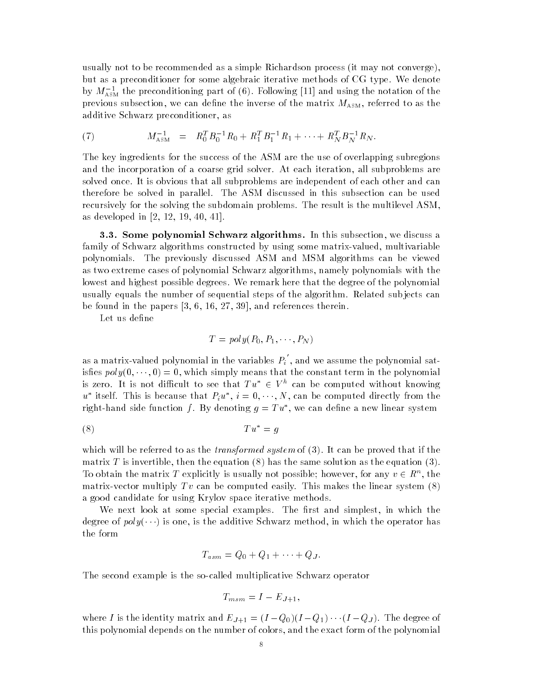usually not to be recommended as a simple Richardson process (it may not converge). but as a preconditioner for some algebraic iterative methods of CG type. We denote by  $M_{\rm ASM}$  the preconditioning part of (6). Following [11] and using the notation of the previous subsection, we can define the inverse of the matrix  $M_{\text{ASM}}$ , referred to as the additive Schwarz preconditioner, as

(7) 
$$
M_{\text{ASM}}^{-1} = R_0^T B_0^{-1} R_0 + R_1^T B_1^{-1} R_1 + \cdots + R_N^T B_N^{-1} R_N.
$$

The key ingredients for the success of the ASM are the use of overlapping subregions and the incorporation of a coarse grid solver. At each iteration, all subproblems are solved once It is obvious that all subproblems are independent of each other and can therefore be solved in parallel. The ASM discussed in this subsection can be used recursively for the solving the subdomain problems. The result is the multilevel ASM. as developed in  $[2, 12, 19, 40, 41]$ .

**3.3. Some polynomial Schwarz algorithms.** In this subsection, we discuss a family of Schwarz algorithms constructed by using some matrix-valued, multivariable polynomials The previously discussed ASM and MSM algorithms can be viewed as two extreme cases of polynomial Schwarz algorithms, namely polynomials with the lowest and highest possible degrees We remark here that the degree of the polynomial usually equals the number of sequential steps of the algorithm. Related subjects can be found in the papers  $\vert$  is the papers there is the product there is a control  $\vert$ 

Let us define

$$
T = poly(P_0, P_1, \cdots, P_N)
$$

as a matrix-valued polynomial in the variables  $P_i$  , and we assume the polynomial satisfies  $poly(0, \dots, 0) = 0$ , which simply means that the constant term in the polynomial is zero. It is not difficult to see that  $Tu^{\ast} \in V^{\mu}$  can be computed without knowing u tiself. This is because that  $F_iu$  ,  $i=0,\cdots,N$  , can be computed directly from the right-hand side function f. By denoting  $q = 1$   $u$  , we can define a new finear system

$$
(8) \t\t T u^* = g
$$

which will be referred to as the *transformed system* of (b). It can be proved that if the matrix T is the theoretic theoretic the equation is the same solution as the same solution as the equation  $\mathbf{r}$ To obtain the matrix T explicitly is usually not possible; however, for any  $v \in R^n$ , the matrix-vector multiply  $Tv$  can be computed easily. This makes the linear system  $(8)$ a good candidate for using Krylov space iterative methods

We next look at some special examples. The first and simplest, in which the degree of  $poly(\cdots)$  is one, is the additive Schwarz method, in which the operator has the form

$$
T_{asm} = Q_0 + Q_1 + \cdots + Q_J.
$$

The second example is the socalled multiplicative Schwarz operator

$$
T_{msm} = I - E_{J+1},
$$

where I is the identity matrix and  $E_{J+1} = (I - Q_0)(I - Q_1) \cdots (I - Q_J)$ . The degree of this polynomial depends on the number of colors and the exact form of the polynomial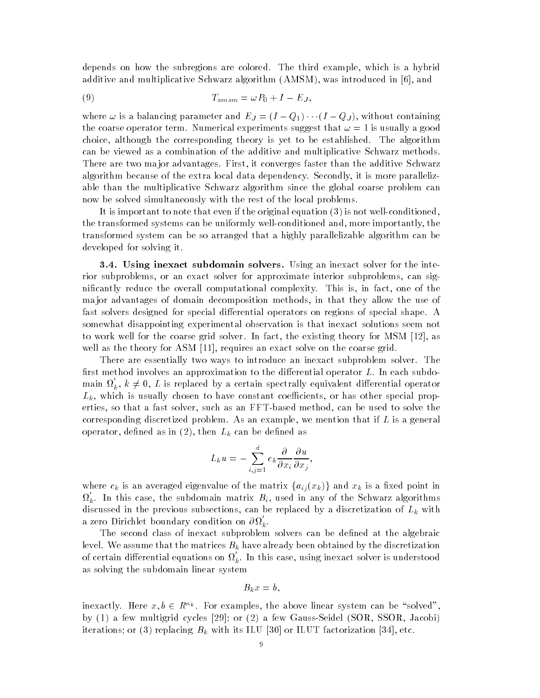depends on how the subregions are colored. The third example, which is a hybrid additive and multiplicative Schwarz algorithm  $(AMSM)$ , was introduced in  $[6]$ , and

$$
(9) \t T_{amsm} = \omega P_0 + I - E_J,
$$

where  $\omega$  is a balancing parameter and  $E_J = (I - Q_1) \cdots (I - Q_J)$ , without containing the coarse operator term. Numerical experiments suggest that  $\omega = 1$  is usually a good choice, although the corresponding theory is yet to be established. The algorithm can be viewed as a combination of the additive and multiplicative Schwarz methods There are two major advantages. First, it converges faster than the additive Schwarz algorithm because of the extra local data dependency. Secondly, it is more parallelizable than the multiplicative Schwarz algorithm since the global coarse problem can now be solved simultaneously with the rest of the local problems

It is important to note that even if the original equation is not well condition  $\mathcal{N}$ the transformed systems can be uniformly well-conditioned and, more importantly, the transformed system can be so arranged that a highly parallelizable algorithm can be developed for solving it

**3.4.** Using inexact subdomain solvers. Using an inexact solver for the interior subproblems, or an exact solver for approximate interior subproblems, can significantly reduce the overall computational complexity. This is, in fact, one of the ma jor advantages of domain decomposition methods in that they allow the use of fast solvers designed for special differential operators on regions of special shape. A somewhat disappointing experimental observation is that inexact solutions seem not to work well for the coarse grid solver. In fact, the existing theory for MSM  $[12]$ , as well as the theory for ASM  $[11]$ , requires an exact solve on the coarse grid.

There are essentially two ways to introduce an inexact subproblem solver. The first method involves an approximation to the differential operator  $L$ . In each subdomain  $\Omega_k$ ,  $k \neq 0$ ,  $L$  is replaced by a certain spectrally equivalent differential operator  $L_k$ , which is usually chosen to have constant coefficients, or has other special properties, so that a fast solver, such as an FFT-based method, can be used to solve the corresponding discretized problem. As an example, we mention that if  $L$  is a general operator, defined as in  $(2)$ , then  $L_k$  can be defined as

$$
L_k u = - \sum_{i,j=1}^d c_k \frac{\partial}{\partial x_i} \frac{\partial u}{\partial x_j},
$$

where  $c_k$  is an averaged eigenvalue of the matrix  $\{a_{ij}(x_k)\}\$  and  $x_k$  is a fixed point in  $\Omega_k$ . In this case, the subdomain matrix  $B_i$ , used in any of the Schwarz algorithms discussed in the previous subsections, can be replaced by a discretization of  $L_k$  with a zero Dirichlet boundary condition on  $\partial\Omega_{\overline{k}}.$ 

The second class of inexact subproblem solvers can be defined at the algebraic level. We assume that the matrices  $B_k$  have already been obtained by the discretization of certain differential equations on  $\Omega_k.$  In this case, using inexact solver is understood as solving the subdomain linear system

$$
B_kx=b,
$$

inexactly. Here  $x, b \in R^{n_k}$ . For examples, the above linear system can be "solved", by  $(1)$  a few multigrid cycles  $[29]$ ; or  $(2)$  a few Gauss-Seidel (SOR, SSOR, Jacobi) iterations of  $\alpha$  with its ILUT factorization in the set of  $\alpha$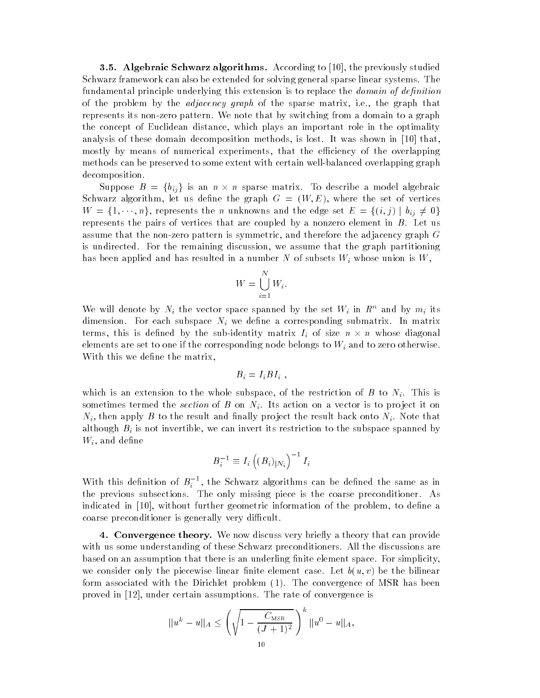**3.5. Algebraic Schwarz algorithms.** According to  $\lceil 10 \rceil$ , the previously studied Schwarz framework can also be extended for solving general sparse linear systems. The fundamental principle underlying this extension is to replace the *domain of definition* of the problem by the *adjacency graph* of the sparse matrix, i.e., the graph that represents its non-zero pattern. We note that by switching from a domain to a graph the concept of Euclidean distance, which plays an important role in the optimality analysis of these domain decomposition methods, is lost. It was shown in  $[10]$  that, mostly by means of numerical experiments, that the efficiency of the overlapping methods can be preserved to some extent with certain well-balanced overlapping graph decomposition

Suppose  $B = \{b_{ij}\}\$ is an  $n \times n$  sparse matrix. To describe a model algebraic Schwarz algorithm, let us define the graph  $G = (W, E)$ , where the set of vertices  $W = \{1, \dots, n\}$ , represents the n unknowns and the edge set  $E = \{(i, j) | b_{ij} \neq 0\}$ represents the pairs of vertices that are coupled by a nonzero element in  $B$ . Let us assume that the non-zero pattern is symmetric, and therefore the adjacency graph  $G$ is undirected. For the remaining discussion, we assume that the graph partitioning has been applied and has resulted in a number N of subsets  $W_i$  whose union is  $W$ ,

$$
W = \bigcup_{i=1}^{N} W_i.
$$

We will denote by  $N_i$  the vector space spanned by the set  $W_i$  in  $\mathbb{R}^n$  and by  $m_i$  its dimension. For each subspace  $N_i$  we define a corresponding submatrix. In matrix terms, this is defined by the sub-identity matrix  $I_i$  of size  $n \times n$  whose diagonal elements are set to one if the corresponding node belongs to  $W_i$  and to zero otherwise. With this we define the matrix,

$$
B_i = I_i B I_i ,
$$

which is an extension to the whole subspace, of the restriction of B to  $N_i$ . This is sometimes termed the section of B on  $N_i$ . Its action on a vector is to project it on  $N_i$ , then apply B to the result and finally project the result back onto  $N_i$ . Note that although  $B_i$  is not invertible, we can invert its restriction to the subspace spanned by  $W_i$ , and define

$$
B_i^{-1}\equiv I_i\left((B_i)_{|N_i}\right)^{-1}I_i
$$

With this definition of  $B_i^{\pm\pm}$ , the Schwarz algorithms can be defined the same as in the previous subsections. The only missing piece is the coarse preconditioner. As indicated in [10], without further geometric information of the problem, to define a coarse preconditioner is generally very difficult.

4. Convergence theory. We now discuss very briefly a theory that can provide with us some understanding of these Schwarz preconditioners. All the discussions are based on an assumption that there is an underling finite element space. For simplicity, we consider only the piecewise linear finite element case. Let  $b(u, v)$  be the bilinear form associated with the Dirichlet problem (1). The convergence of MSR has been proved in  $[12]$ , under certain assumptions. The rate of convergence is

$$
||u^k - u||_A \le \left(\sqrt{1 - \frac{C_{\text{MSR}}}{(J+1)^2}}\right)^k ||u^0 - u||_A,
$$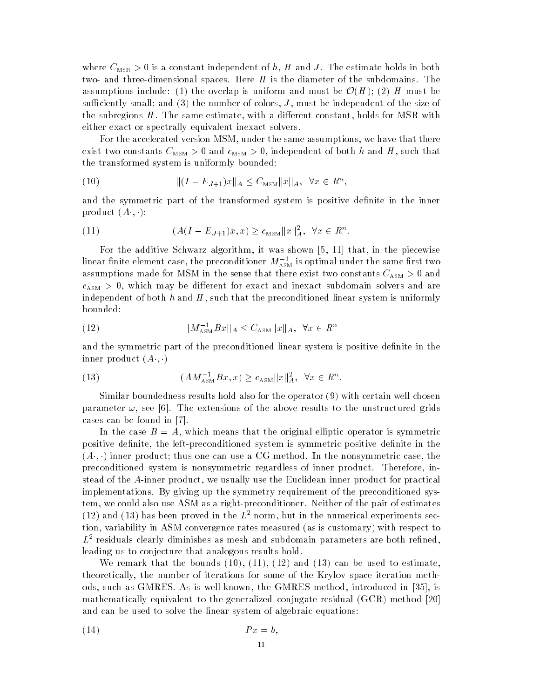where  $C_{\text{MSR}} > 0$  is a constant independent of h, H and J. The estimate holds in both two- and three-dimensional spaces. Here  $H$  is the diameter of the subdomains. The assumptions include: (1) the overlap is uniform and must be  $\mathcal{O}(H)$ ; (2) H must be suciently small and the number of colors J must be independent of the size of the subregions  $H$ . The same estimate, with a different constant, holds for MSR with either exact or spectrally equivalent inexact solvers

For the accelerated version MSM, under the same assumptions, we have that there exist two constants  $C_{\text{MSM}} > 0$  and  $c_{\text{MSM}} > 0$ , independent of both h and H, such that the transformed system is uniformly bounded

(10) 
$$
\| (I - E_{J+1})x \|_A \leq C_{\text{MSM}} \| x \|_A, \ \forall x \in R^n,
$$

and the symmetric part of the transformed system is positive definite in the inner product  $(A \cdot, \cdot)$ :

(11) 
$$
(A(I - E_{J+1})x, x) \ge c_{MSM} ||x||_A^2, \quad \forall x \in R^n.
$$

For the additive Schwarz algorithm, it was shown  $\left[5, 11\right]$  that, in the piecewise mear ninte element case, the preconditioner  $m_{\rm AssM}$  is optimal under the same first two assumptions made for MSM in the sense that there exist two constants  $C_{\text{ASM}} > 0$  and  $c<sub>ASM</sub> > 0$ , which may be different for exact and inexact subdomain solvers and are independent of both  $h$  and  $H$ , such that the preconditioned linear system is uniformly bounded

kM ASMBxkA CASMkxkA x Rn 

and the symmetric part of the preconditioned linear system is positive definite in the inner product  $(A \cdot, \cdot)$ 

(13) 
$$
(AM_{\text{ASM}}^{-1}Bx, x) \ge c_{\text{ASM}} \|x\|_{A}^{2}, \ \forall x \in R^{n}.
$$

Similar boundedness results hold also for the operator  $(9)$  with certain well chosen parameter  $\omega$ , see [6]. The extensions of the above results to the unstructured grids cases can be found in 

In the case  $B = A$ , which means that the original elliptic operator is symmetric positive definite, the left-preconditioned system is symmetric positive definite in the  $(A \cdot, \cdot)$  inner product; thus one can use a CG method. In the nonsymmetric case, the preconditioned system is nonsymmetric regardless of inner product. Therefore, instead of the A-inner product, we usually use the Euclidean inner product for practical implementations By giving up the symmetry requirement of the preconditioned sys tem, we could also use ASM as a right-preconditioner. Neither of the pair of estimates (12) and (15) has been proved in the  $L$ - norm, but in the numerical experiments sec-  $\,$ tion, variability in ASM convergence rates measured (as is customary) with respect to  $L^{\pm}$  residuals clearly diminishes as mesh and subdomain parameters are both refined, leading us to conjecture that analogous results hold

we remark that the bounds is the bounds of the bounds of the bounds  $\mathbf{r}$ theoretically the number of iterations for some of the Krylov space iteration meth o design as GMRES as is a second internal method in the GMRES method introduced internal and internal and internal mathematically equivalent to the generalized conjugate residual  $(GCR)$  method [20] and can be used to solve the linear system of algebraic equations

$$
(14) \t\t Px = b,
$$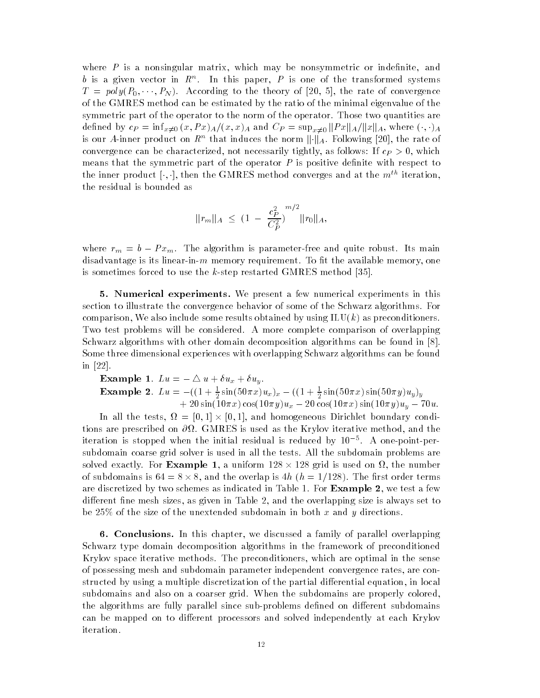where  $P$  is a nonsingular matrix, which may be nonsymmetric or indefinite, and  $\theta$  is a given vector in  $R^+$ . In this paper,  $P$  is one of the transformed systems  $T = poly(P_0, \dots, P_N)$ . According to the theory of [20, 5], the rate of convergence of the GMRES method can be estimated by the ratio of the minimal eigenvalue of the symmetric part of the operator to the norm of the operator. Those two quantities are defined by  $c_P = \inf_{x\neq 0} (x, Px)_A/(x, x)_A$  and  $C_P = \sup_{x\neq 0} ||Px||_A/||x||_A$ , where  $(\cdot, \cdot)_A$ is our A-inner product on  $R^n$  that induces the norm  $\lVert \cdot \rVert_A.$  Following [20], the rate of convergence can be characterized, not necessarily tightly, as follows: If  $c_P > 0$ , which means that the symmetric part of the operator  $P$  is positive definite with respect to the inner product  $[\cdot, \cdot]$ , then the GMRES method converges and at the  $m^{th}$  iteration, the residual is bounded as

$$
||r_m||_A \leq (1 - \frac{c_P^2}{C_P^2})^{m/2} ||r_0||_A,
$$

where  $r_m = b - Px_m$ . The algorithm is parameter-free and quite robust. Its main disadvantage is its linear-in-m memory requirement. To fit the available memory, one is sometimes forced to use the kstep restarted GMRES method 

**5. Numerical experiments.** We present a few numerical experiments in this section to illustrate the convergence behavior of some of the Schwarz algorithms. For comparison, We also include some results obtained by using  $\text{ILU}(k)$  as preconditioners. Two test problems will be considered. A more complete comparison of overlapping Schwarz algorithms with other domain decomposition algorithms can be found in Some three dimensional experiences with overlapping Schwarz algorithms can be found in  $[22]$ .

Example 1.  $Lu = -\bigtriangleup u + \delta u_x + \delta u_y$ . **Example 2.**  $Lu = -((1 + \frac{1}{2} \sin(30\pi x)u_x)_x - ((1 + \frac{1}{2} \sin(30\pi x) \sin(30\pi y)u_y)_y$  $\tau$  zo sint rowly to cost row  $y \mu_x$   $\tau$  zo cost rowly sint rowly  $\mu_y$   $\tau$  row.

In all the tests,  $\Omega = [0,1] \times [0,1]$ , and homogeneous Dirichlet boundary conditions are prescribed on  $\partial\Omega$ . GMRES is used as the Krylov iterative method, and the iteration is stopped when the initial residual is reduced by A onepointper subdomain coarse grid solver is used in all the tests All the subdomain problems are solved exactly. For **Example 1**, a uniform  $128 \times 128$  grid is used on  $\Omega$ , the number of subdomains is  $64 = 8 \times 8$ , and the overlap is 4h ( $h = 1/128$ ). The first order terms are discretized by two schemes as indicated in Table 2012 - the measurement of the form of  $\mathbb{R}^n$ different fine mesh sizes, as given in Table 2, and the overlapping size is always set to be 25% of the size of the unextended subdomain in both x and y directions.

**6. Conclusions.** In this chapter, we discussed a family of parallel overlapping Schwarz type domain decomposition algorithms in the framework of preconditioned Krylov space iterative methods. The preconditioners, which are optimal in the sense of possessing mesh and subdomain parameter independent convergence rates are con structed by using a multiple discretization of the partial differential equation, in local subdomains and also on a coarser grid. When the subdomains are properly colored, the algorithms are fully parallel since sub-problems defined on different subdomains can be mapped on to different processors and solved independently at each Krylov iteration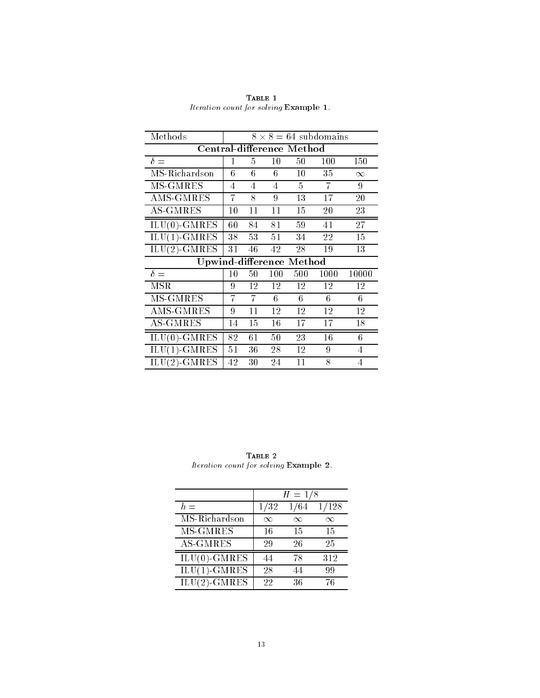| Methods                   | $8 \times 8 = 64$ subdomains |    |     |     |      |          |
|---------------------------|------------------------------|----|-----|-----|------|----------|
| Central-difference Method |                              |    |     |     |      |          |
| $\delta =$                | 1                            | 5  | 10  | 50  | 100  | 150      |
| MS-Richardson             | 6                            | 6  | 6   | 10  | 35   | $\infty$ |
| MS-GMRES                  | 4                            | 4  | 4   | 5   | 7    | 9        |
| AMS-GMRES                 | 7                            | 8  | 9   | 13  | 17   | 20       |
| <b>AS-GMRES</b>           | 10                           | 11 | 11  | 15  | 20   | 23       |
| $ILU(0)-GMRES$            | 60                           | 84 | 81  | 59  | 41   | $2\,7$   |
| $ILU(1)-GMRES$            | 38                           | 53 | 51  | 34  | 22   | 15       |
| $ILU(2)-GMRES$            | 31                           | 46 | 42  | 28  | 19   | 13       |
| Upwind-difference Method  |                              |    |     |     |      |          |
| $\delta =$                | 10                           | 50 | 100 | 500 | 1000 | 10000    |
| <b>MSR</b>                | 9                            | 12 | 12  | 12  | 12   | 12       |
| MS-GMRES                  | 7                            | 7  | 6   | 6   | 6    | 6        |
| AMS-GMRES                 | 9                            | 11 | 12  | 12  | 12   | 12       |
| <b>AS-GMRES</b>           | 14                           | 15 | 16  | 17  | 17   | 18       |
| $ILU(0)$ -GMRES           | 82                           | 61 | 50  | 23  | 16   | 6        |
| $ILU(1)-GMRES$            | 51                           | 36 | 28  | 12  | 9    | 4        |
| $\rm ILU(2)\text{-}GMRES$ | 42                           | 30 | 24  | 11  | 8    | 4        |

TABLE 1 Iteration count for solving Example 1.

TABLE  $2$ Iteration count for solving Example -

|                 | $H = 1/8$ |      |          |  |  |
|-----------------|-----------|------|----------|--|--|
| $h =$           | 1/32      | 1/64 | 1/128    |  |  |
| MS-Richardson   | $\infty$  | ∞    | $\infty$ |  |  |
| MS-GMRES        | 16        | 15   | 15       |  |  |
| <b>AS-GMRES</b> | 29        | 26   | 25       |  |  |
| $ILU(0)-GMRES$  |           | 78   | 312      |  |  |
| $ILU(1)-GMRES$  | 28        |      | 99       |  |  |
| $ILU(2)-GMRES$  | 22        | 36   | 76       |  |  |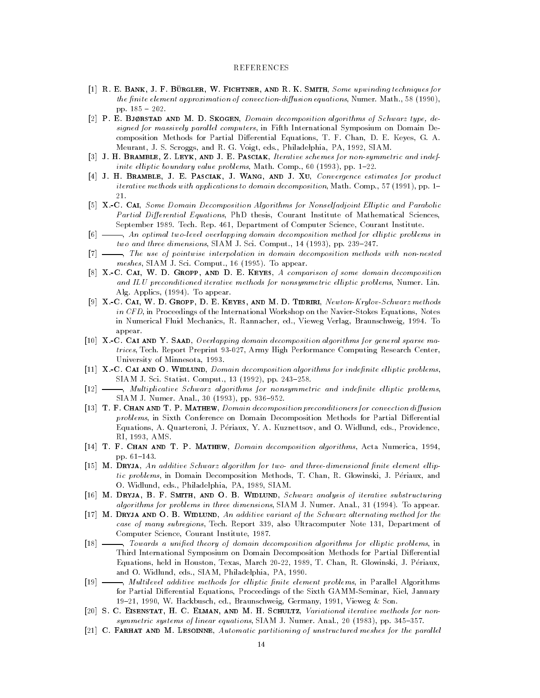## REFERENCES

- [1] R. E. BANK, J. F. BÜRGLER, W. FICHTNER, AND R. K. SMITH, Some upwinding techniques for the -nite element approximation of convectiondiusion equations Numer Math pp
- [2]  $P$ . E. BJØRSTAD AND M. D. SKOGEN, *Domain decomposition algorithms of Schwarz type*, designed for massively parallel computers, in Fifth International Symposium on Domain Decomposition Methods for Partial Di-erential Equations T F Chan D E Keyes G A Meurant, J. S. Scroggs, and R. G. Voigt, eds., Philadelphia, PA, 1992, SIAM.
- [3] J. H. BRAMBLE, Z. LEYK, AND J. E. PASCIAK, Iterative schemes for non-symmetric and indefinite elliptic boundary value problems, Math. Comp., 60  $(1993)$ , pp. 1-22.
- [4] J. H. BRAMBLE, J. E. PASCIAK, J. WANG, AND J. XU, Convergence estimates for product iterative methods with a pplications of the compositions to domain decompositions of the composition  $\mathcal{L}$
- XC Cai Some Domain Decomposition Algorithms for Nonselfadjoint El liptic and Parabolic Partial Differential Equations, PhD thesis, Courant Institute of Mathematical Sciences, September 1989. Tech. Rep. 461, Department of Computer Science, Courant Institute.
- $[6]$   $\longrightarrow$ , An optimal two-level overlapping domain decomposition method for elliptic problems in two and three dimensions, SIAM J. Sci. Comput.,  $14$  (1993), pp. 239–247.
- The use of pointwise interpolation in domain decomposition methods with nonnested meshes Siam Siam Science (Science Siam Science Siam Science Siam Science Siam Science Siam Science Siam Science
- [8] X.-C. CAI, W. D. GROPP, AND D. E. KEYES, A comparison of some domain decomposition and ILU preconditioned iterative methods for nonsymmetric elliptic problems, Numer. Lin. Alg. Applics, (1994). To appear.
- [9]  $X.-C.$  CAI, W. D. GROPP, D. E. KEYES, AND M. D. TIDRIRI, Newton-Krylov-Schwarz methods in CFD, in Proceedings of the International Workshop on the Navier-Stokes Equations, Notes in Numerical Fluid Mechanics, R. Rannacher, ed., Vieweg Verlag, Braunschweig, 1994. To appear
- [10] X.-C. CAI AND Y. SAAD, Overlapping domain decomposition algorithms for general sparse matrices, Tech. Report Preprint 93-027, Army High Performance Computing Research Center, University of Minnesota, 1993.
- nite and and one are the called and  $\alpha$  index in the composition algorithms for independent problems of siam in sin siam si siampinin an ising the single single statistics of the statistic statistics of the statist
- Multiplicative Schwarz algorithms for nonsymmetric and inde-nite el liptic problems simulation in the state of the state of the state of the state of the state of the state of the state of the s
- [13]  $T.F. CHAN AND T. P. MATHEW, Domain decomposition preconditions for convection diffusion$ problems in Sixth Conference on Domain Decomposition Methods for Partial Di-erential Equations, A. Quarteroni, J. Périaux, Y. A. Kuznettsov, and O. Widlund, eds., Providence, RI, 1993, AMS.
- [14] T. F. CHAN AND T. P. MATHEW, *Domain decomposition algorithms*, Acta Numerica, 1994, pp. 61-143.
- n an additional and the schwarz algorithm for two and three contributions of three contributions of  $\mathbb{P}^1$ tic problems, in Domain Decomposition Methods, T. Chan, R. Glowinski, J. Périaux, and O. Widlund, eds., Philadelphia, PA, 1989, SIAM.
- [16] M. DRYJA, B. F. SMITH, AND O. B. WIDLUND, Schwarz analysis of iterative substructuring algorithms for problems in three dimensions, SIAM J. Numer. Anal., 31 (1994). To appear.
- [17] M. DRYJA AND O. B. WIDLUND, An additive variant of the Schwarz alternating method for the case of many subregions, Tech. Report 339, also Ultracomputer Note 131, Department of Computer Science, Courant Institute, 1987.
- Towards a uni-ed theory of domain decomposition algorithms for el liptic problems in Third International Symposium on Domain Decomposition Methods for Partial Di-erential Equations, held in Houston, Texas, March 20-22, 1989, T. Chan, R. Glowinski, J. Périaux, and O. Widlund, eds., SIAM, Philadelphia, PA, 1990.
- Multilevel additive methods for el liptic -nite element problems in Parallel Algorithms for Partial Di-erential Equations Proceedings of the Sixth GAMMSeminar Kiel January 19-21, 1990, W. Hackbusch, ed., Braunschweig, Germany, 1991, Vieweg & Son.
- [20] S. C. EISENSTAT, H. C. ELMAN, AND M. H. SCHULTZ, Variational iterative methods for nonsymmetric systems sy intent symmicsing measure at atmosphere accuracy as you and ppins as a state
- [21]  $C.$  FARHAT AND M. LESOINNE, Automatic partitioning of unstructured meshes for the parallel